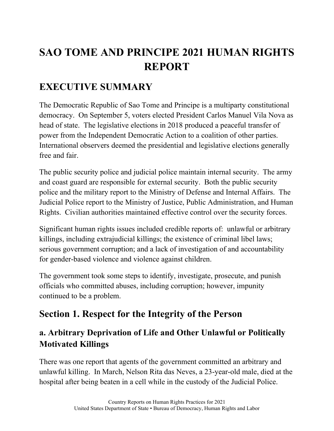# **SAO TOME AND PRINCIPE 2021 HUMAN RIGHTS REPORT**

## **EXECUTIVE SUMMARY**

The Democratic Republic of Sao Tome and Principe is a multiparty constitutional democracy. On September 5, voters elected President Carlos Manuel Vila Nova as head of state. The legislative elections in 2018 produced a peaceful transfer of power from the Independent Democratic Action to a coalition of other parties. International observers deemed the presidential and legislative elections generally free and fair.

The public security police and judicial police maintain internal security. The army and coast guard are responsible for external security. Both the public security police and the military report to the Ministry of Defense and Internal Affairs. The Judicial Police report to the Ministry of Justice, Public Administration, and Human Rights. Civilian authorities maintained effective control over the security forces.

Significant human rights issues included credible reports of: unlawful or arbitrary killings, including extrajudicial killings; the existence of criminal libel laws; serious government corruption; and a lack of investigation of and accountability for gender-based violence and violence against children.

The government took some steps to identify, investigate, prosecute, and punish officials who committed abuses, including corruption; however, impunity continued to be a problem.

## **Section 1. Respect for the Integrity of the Person**

### **a. Arbitrary Deprivation of Life and Other Unlawful or Politically Motivated Killings**

There was one report that agents of the government committed an arbitrary and unlawful killing. In March, Nelson Rita das Neves, a 23-year-old male, died at the hospital after being beaten in a cell while in the custody of the Judicial Police.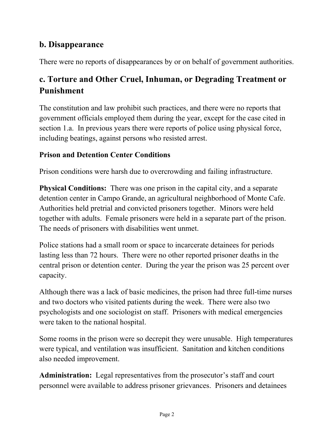### **b. Disappearance**

There were no reports of disappearances by or on behalf of government authorities.

### **c. Torture and Other Cruel, Inhuman, or Degrading Treatment or Punishment**

The constitution and law prohibit such practices, and there were no reports that government officials employed them during the year, except for the case cited in section 1.a. In previous years there were reports of police using physical force, including beatings, against persons who resisted arrest.

#### **Prison and Detention Center Conditions**

Prison conditions were harsh due to overcrowding and failing infrastructure.

**Physical Conditions:** There was one prison in the capital city, and a separate detention center in Campo Grande, an agricultural neighborhood of Monte Cafe. Authorities held pretrial and convicted prisoners together. Minors were held together with adults. Female prisoners were held in a separate part of the prison. The needs of prisoners with disabilities went unmet.

Police stations had a small room or space to incarcerate detainees for periods lasting less than 72 hours. There were no other reported prisoner deaths in the central prison or detention center. During the year the prison was 25 percent over capacity.

Although there was a lack of basic medicines, the prison had three full-time nurses and two doctors who visited patients during the week. There were also two psychologists and one sociologist on staff. Prisoners with medical emergencies were taken to the national hospital.

Some rooms in the prison were so decrepit they were unusable. High temperatures were typical, and ventilation was insufficient. Sanitation and kitchen conditions also needed improvement.

**Administration:** Legal representatives from the prosecutor's staff and court personnel were available to address prisoner grievances. Prisoners and detainees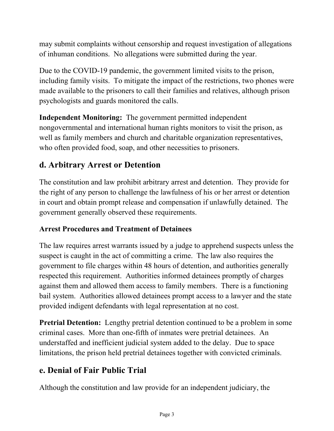may submit complaints without censorship and request investigation of allegations of inhuman conditions. No allegations were submitted during the year.

Due to the COVID-19 pandemic, the government limited visits to the prison, including family visits. To mitigate the impact of the restrictions, two phones were made available to the prisoners to call their families and relatives, although prison psychologists and guards monitored the calls.

**Independent Monitoring:** The government permitted independent nongovernmental and international human rights monitors to visit the prison, as well as family members and church and charitable organization representatives, who often provided food, soap, and other necessities to prisoners.

### **d. Arbitrary Arrest or Detention**

The constitution and law prohibit arbitrary arrest and detention. They provide for the right of any person to challenge the lawfulness of his or her arrest or detention in court and obtain prompt release and compensation if unlawfully detained. The government generally observed these requirements.

#### **Arrest Procedures and Treatment of Detainees**

The law requires arrest warrants issued by a judge to apprehend suspects unless the suspect is caught in the act of committing a crime. The law also requires the government to file charges within 48 hours of detention, and authorities generally respected this requirement. Authorities informed detainees promptly of charges against them and allowed them access to family members. There is a functioning bail system. Authorities allowed detainees prompt access to a lawyer and the state provided indigent defendants with legal representation at no cost.

**Pretrial Detention:** Lengthy pretrial detention continued to be a problem in some criminal cases. More than one-fifth of inmates were pretrial detainees. An understaffed and inefficient judicial system added to the delay. Due to space limitations, the prison held pretrial detainees together with convicted criminals.

### **e. Denial of Fair Public Trial**

Although the constitution and law provide for an independent judiciary, the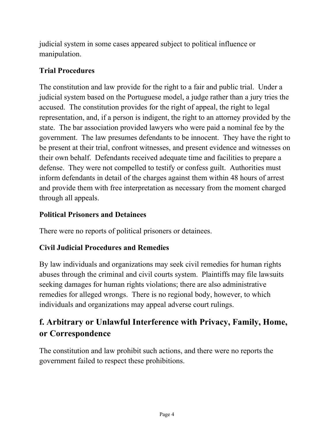judicial system in some cases appeared subject to political influence or manipulation.

#### **Trial Procedures**

The constitution and law provide for the right to a fair and public trial. Under a judicial system based on the Portuguese model, a judge rather than a jury tries the accused. The constitution provides for the right of appeal, the right to legal representation, and, if a person is indigent, the right to an attorney provided by the state. The bar association provided lawyers who were paid a nominal fee by the government. The law presumes defendants to be innocent. They have the right to be present at their trial, confront witnesses, and present evidence and witnesses on their own behalf. Defendants received adequate time and facilities to prepare a defense. They were not compelled to testify or confess guilt. Authorities must inform defendants in detail of the charges against them within 48 hours of arrest and provide them with free interpretation as necessary from the moment charged through all appeals.

#### **Political Prisoners and Detainees**

There were no reports of political prisoners or detainees.

#### **Civil Judicial Procedures and Remedies**

By law individuals and organizations may seek civil remedies for human rights abuses through the criminal and civil courts system. Plaintiffs may file lawsuits seeking damages for human rights violations; there are also administrative remedies for alleged wrongs. There is no regional body, however, to which individuals and organizations may appeal adverse court rulings.

### **f. Arbitrary or Unlawful Interference with Privacy, Family, Home, or Correspondence**

The constitution and law prohibit such actions, and there were no reports the government failed to respect these prohibitions.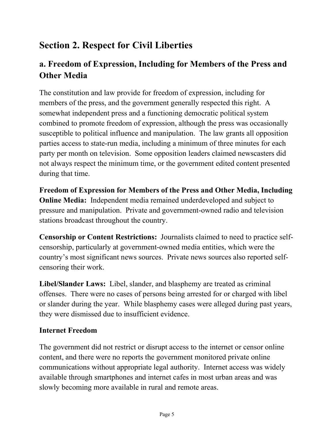## **Section 2. Respect for Civil Liberties**

### **a. Freedom of Expression, Including for Members of the Press and Other Media**

The constitution and law provide for freedom of expression, including for members of the press, and the government generally respected this right. A somewhat independent press and a functioning democratic political system combined to promote freedom of expression, although the press was occasionally susceptible to political influence and manipulation. The law grants all opposition parties access to state-run media, including a minimum of three minutes for each party per month on television. Some opposition leaders claimed newscasters did not always respect the minimum time, or the government edited content presented during that time.

**Freedom of Expression for Members of the Press and Other Media, Including Online Media:** Independent media remained underdeveloped and subject to pressure and manipulation. Private and government-owned radio and television stations broadcast throughout the country.

**Censorship or Content Restrictions:** Journalists claimed to need to practice selfcensorship, particularly at government-owned media entities, which were the country's most significant news sources. Private news sources also reported selfcensoring their work.

**Libel/Slander Laws:** Libel, slander, and blasphemy are treated as criminal offenses. There were no cases of persons being arrested for or charged with libel or slander during the year. While blasphemy cases were alleged during past years, they were dismissed due to insufficient evidence.

#### **Internet Freedom**

The government did not restrict or disrupt access to the internet or censor online content, and there were no reports the government monitored private online communications without appropriate legal authority. Internet access was widely available through smartphones and internet cafes in most urban areas and was slowly becoming more available in rural and remote areas.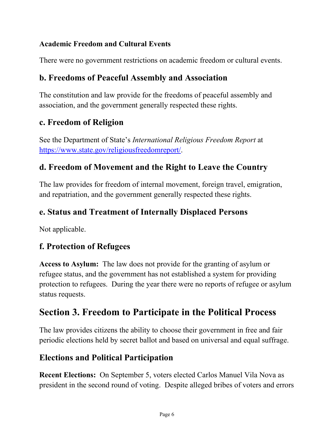#### **Academic Freedom and Cultural Events**

There were no government restrictions on academic freedom or cultural events.

#### **b. Freedoms of Peaceful Assembly and Association**

The constitution and law provide for the freedoms of peaceful assembly and association, and the government generally respected these rights.

#### **c. Freedom of Religion**

See the Department of State's *International Religious Freedom Report* at [https://www.state.gov/religiousfreedomreport/.](https://www.state.gov/religiousfreedomreport/)

#### **d. Freedom of Movement and the Right to Leave the Country**

The law provides for freedom of internal movement, foreign travel, emigration, and repatriation, and the government generally respected these rights.

#### **e. Status and Treatment of Internally Displaced Persons**

Not applicable.

#### **f. Protection of Refugees**

**Access to Asylum:** The law does not provide for the granting of asylum or refugee status, and the government has not established a system for providing protection to refugees. During the year there were no reports of refugee or asylum status requests.

### **Section 3. Freedom to Participate in the Political Process**

The law provides citizens the ability to choose their government in free and fair periodic elections held by secret ballot and based on universal and equal suffrage.

#### **Elections and Political Participation**

**Recent Elections:** On September 5, voters elected Carlos Manuel Vila Nova as president in the second round of voting. Despite alleged bribes of voters and errors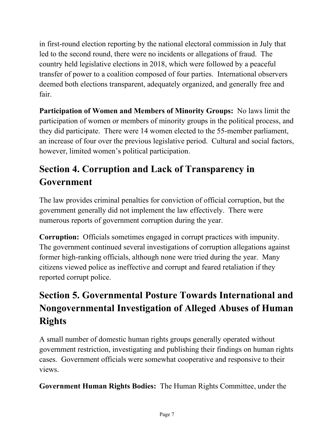in first-round election reporting by the national electoral commission in July that led to the second round, there were no incidents or allegations of fraud. The country held legislative elections in 2018, which were followed by a peaceful transfer of power to a coalition composed of four parties. International observers deemed both elections transparent, adequately organized, and generally free and fair.

**Participation of Women and Members of Minority Groups:** No laws limit the participation of women or members of minority groups in the political process, and they did participate. There were 14 women elected to the 55-member parliament, an increase of four over the previous legislative period. Cultural and social factors, however, limited women's political participation.

## **Section 4. Corruption and Lack of Transparency in Government**

The law provides criminal penalties for conviction of official corruption, but the government generally did not implement the law effectively. There were numerous reports of government corruption during the year.

**Corruption:** Officials sometimes engaged in corrupt practices with impunity. The government continued several investigations of corruption allegations against former high-ranking officials, although none were tried during the year. Many citizens viewed police as ineffective and corrupt and feared retaliation if they reported corrupt police.

## **Section 5. Governmental Posture Towards International and Nongovernmental Investigation of Alleged Abuses of Human Rights**

A small number of domestic human rights groups generally operated without government restriction, investigating and publishing their findings on human rights cases. Government officials were somewhat cooperative and responsive to their views.

**Government Human Rights Bodies:** The Human Rights Committee, under the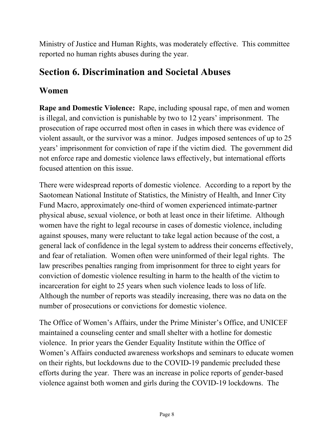Ministry of Justice and Human Rights, was moderately effective. This committee reported no human rights abuses during the year.

### **Section 6. Discrimination and Societal Abuses**

#### **Women**

**Rape and Domestic Violence:** Rape, including spousal rape, of men and women is illegal, and conviction is punishable by two to 12 years' imprisonment. The prosecution of rape occurred most often in cases in which there was evidence of violent assault, or the survivor was a minor. Judges imposed sentences of up to 25 years' imprisonment for conviction of rape if the victim died. The government did not enforce rape and domestic violence laws effectively, but international efforts focused attention on this issue.

There were widespread reports of domestic violence. According to a report by the Saotomean National Institute of Statistics, the Ministry of Health, and Inner City Fund Macro, approximately one-third of women experienced intimate-partner physical abuse, sexual violence, or both at least once in their lifetime. Although women have the right to legal recourse in cases of domestic violence, including against spouses, many were reluctant to take legal action because of the cost, a general lack of confidence in the legal system to address their concerns effectively, and fear of retaliation. Women often were uninformed of their legal rights. The law prescribes penalties ranging from imprisonment for three to eight years for conviction of domestic violence resulting in harm to the health of the victim to incarceration for eight to 25 years when such violence leads to loss of life. Although the number of reports was steadily increasing, there was no data on the number of prosecutions or convictions for domestic violence.

The Office of Women's Affairs, under the Prime Minister's Office, and UNICEF maintained a counseling center and small shelter with a hotline for domestic violence. In prior years the Gender Equality Institute within the Office of Women's Affairs conducted awareness workshops and seminars to educate women on their rights, but lockdowns due to the COVID-19 pandemic precluded these efforts during the year. There was an increase in police reports of gender-based violence against both women and girls during the COVID-19 lockdowns. The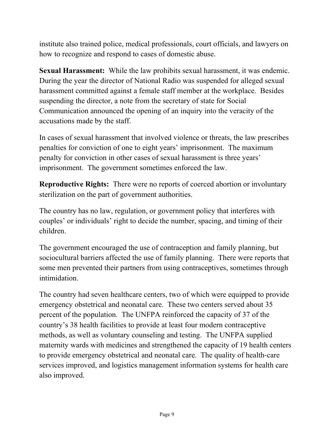institute also trained police, medical professionals, court officials, and lawyers on how to recognize and respond to cases of domestic abuse.

**Sexual Harassment:** While the law prohibits sexual harassment, it was endemic. During the year the director of National Radio was suspended for alleged sexual harassment committed against a female staff member at the workplace. Besides suspending the director, a note from the secretary of state for Social Communication announced the opening of an inquiry into the veracity of the accusations made by the staff.

In cases of sexual harassment that involved violence or threats, the law prescribes penalties for conviction of one to eight years' imprisonment. The maximum penalty for conviction in other cases of sexual harassment is three years' imprisonment. The government sometimes enforced the law.

**Reproductive Rights:** There were no reports of coerced abortion or involuntary sterilization on the part of government authorities.

The country has no law, regulation, or government policy that interferes with couples' or individuals' right to decide the number, spacing, and timing of their children.

The government encouraged the use of contraception and family planning, but sociocultural barriers affected the use of family planning. There were reports that some men prevented their partners from using contraceptives, sometimes through intimidation.

The country had seven healthcare centers, two of which were equipped to provide emergency obstetrical and neonatal care. These two centers served about 35 percent of the population. The UNFPA reinforced the capacity of 37 of the country's 38 health facilities to provide at least four modern contraceptive methods, as well as voluntary counseling and testing. The UNFPA supplied maternity wards with medicines and strengthened the capacity of 19 health centers to provide emergency obstetrical and neonatal care. The quality of health-care services improved, and logistics management information systems for health care also improved.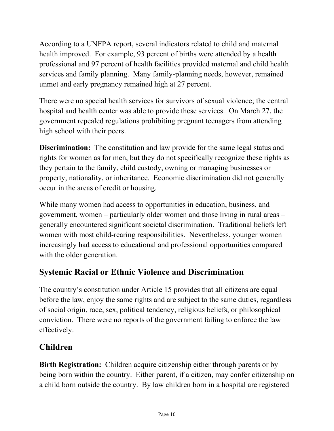According to a UNFPA report, several indicators related to child and maternal health improved. For example, 93 percent of births were attended by a health professional and 97 percent of health facilities provided maternal and child health services and family planning. Many family-planning needs, however, remained unmet and early pregnancy remained high at 27 percent.

There were no special health services for survivors of sexual violence; the central hospital and health center was able to provide these services. On March 27, the government repealed regulations prohibiting pregnant teenagers from attending high school with their peers.

**Discrimination:** The constitution and law provide for the same legal status and rights for women as for men, but they do not specifically recognize these rights as they pertain to the family, child custody, owning or managing businesses or property, nationality, or inheritance. Economic discrimination did not generally occur in the areas of credit or housing.

While many women had access to opportunities in education, business, and government, women – particularly older women and those living in rural areas – generally encountered significant societal discrimination. Traditional beliefs left women with most child-rearing responsibilities. Nevertheless, younger women increasingly had access to educational and professional opportunities compared with the older generation.

### **Systemic Racial or Ethnic Violence and Discrimination**

The country's constitution under Article 15 provides that all citizens are equal before the law, enjoy the same rights and are subject to the same duties, regardless of social origin, race, sex, political tendency, religious beliefs, or philosophical conviction. There were no reports of the government failing to enforce the law effectively.

#### **Children**

**Birth Registration:** Children acquire citizenship either through parents or by being born within the country. Either parent, if a citizen, may confer citizenship on a child born outside the country. By law children born in a hospital are registered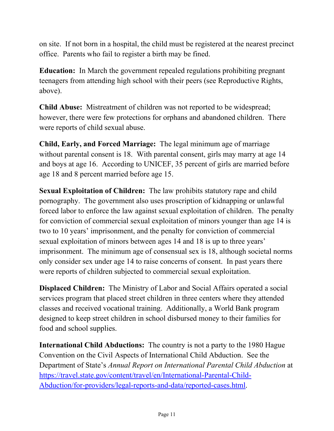on site. If not born in a hospital, the child must be registered at the nearest precinct office. Parents who fail to register a birth may be fined.

**Education:** In March the government repealed regulations prohibiting pregnant teenagers from attending high school with their peers (see Reproductive Rights, above).

**Child Abuse:** Mistreatment of children was not reported to be widespread; however, there were few protections for orphans and abandoned children. There were reports of child sexual abuse.

**Child, Early, and Forced Marriage:** The legal minimum age of marriage without parental consent is 18. With parental consent, girls may marry at age 14 and boys at age 16. According to UNICEF, 35 percent of girls are married before age 18 and 8 percent married before age 15.

**Sexual Exploitation of Children:** The law prohibits statutory rape and child pornography. The government also uses proscription of kidnapping or unlawful forced labor to enforce the law against sexual exploitation of children. The penalty for conviction of commercial sexual exploitation of minors younger than age 14 is two to 10 years' imprisonment, and the penalty for conviction of commercial sexual exploitation of minors between ages 14 and 18 is up to three years' imprisonment. The minimum age of consensual sex is 18, although societal norms only consider sex under age 14 to raise concerns of consent. In past years there were reports of children subjected to commercial sexual exploitation.

**Displaced Children:** The Ministry of Labor and Social Affairs operated a social services program that placed street children in three centers where they attended classes and received vocational training. Additionally, a World Bank program designed to keep street children in school disbursed money to their families for food and school supplies.

**International Child Abductions:** The country is not a party to the 1980 Hague Convention on the Civil Aspects of International Child Abduction. See the Department of State's *Annual Report on International Parental Child Abduction* at [https://travel.state.gov/content/travel/en/International-Parental-Child-](https://travel.state.gov/content/travel/en/International-Parental-Child-Abduction/for-providers/legal-reports-and-data/reported-cases.html)[Abduction/for-providers/legal-reports-and-data/reported-cases.html.](https://travel.state.gov/content/travel/en/International-Parental-Child-Abduction/for-providers/legal-reports-and-data/reported-cases.html)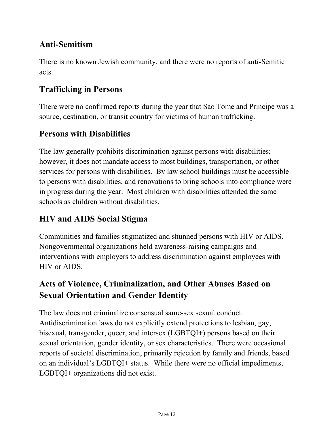### **Anti-Semitism**

There is no known Jewish community, and there were no reports of anti-Semitic acts.

### **Trafficking in Persons**

There were no confirmed reports during the year that Sao Tome and Principe was a source, destination, or transit country for victims of human trafficking.

### **Persons with Disabilities**

The law generally prohibits discrimination against persons with disabilities; however, it does not mandate access to most buildings, transportation, or other services for persons with disabilities. By law school buildings must be accessible to persons with disabilities, and renovations to bring schools into compliance were in progress during the year. Most children with disabilities attended the same schools as children without disabilities.

### **HIV and AIDS Social Stigma**

Communities and families stigmatized and shunned persons with HIV or AIDS. Nongovernmental organizations held awareness-raising campaigns and interventions with employers to address discrimination against employees with HIV or AIDS.

### **Acts of Violence, Criminalization, and Other Abuses Based on Sexual Orientation and Gender Identity**

The law does not criminalize consensual same-sex sexual conduct. Antidiscrimination laws do not explicitly extend protections to lesbian, gay, bisexual, transgender, queer, and intersex (LGBTQI+) persons based on their sexual orientation, gender identity, or sex characteristics. There were occasional reports of societal discrimination, primarily rejection by family and friends, based on an individual's LGBTQI+ status. While there were no official impediments, LGBTQI+ organizations did not exist.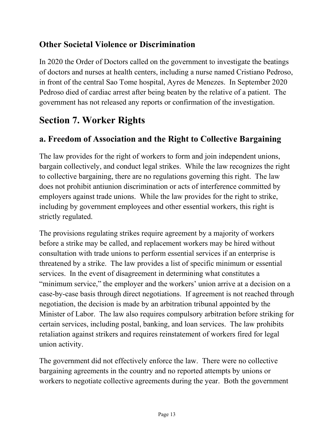#### **Other Societal Violence or Discrimination**

In 2020 the Order of Doctors called on the government to investigate the beatings of doctors and nurses at health centers, including a nurse named Cristiano Pedroso, in front of the central Sao Tome hospital, Ayres de Menezes. In September 2020 Pedroso died of cardiac arrest after being beaten by the relative of a patient. The government has not released any reports or confirmation of the investigation.

## **Section 7. Worker Rights**

### **a. Freedom of Association and the Right to Collective Bargaining**

The law provides for the right of workers to form and join independent unions, bargain collectively, and conduct legal strikes. While the law recognizes the right to collective bargaining, there are no regulations governing this right. The law does not prohibit antiunion discrimination or acts of interference committed by employers against trade unions. While the law provides for the right to strike, including by government employees and other essential workers, this right is strictly regulated.

The provisions regulating strikes require agreement by a majority of workers before a strike may be called, and replacement workers may be hired without consultation with trade unions to perform essential services if an enterprise is threatened by a strike. The law provides a list of specific minimum or essential services. In the event of disagreement in determining what constitutes a "minimum service," the employer and the workers' union arrive at a decision on a case-by-case basis through direct negotiations. If agreement is not reached through negotiation, the decision is made by an arbitration tribunal appointed by the Minister of Labor. The law also requires compulsory arbitration before striking for certain services, including postal, banking, and loan services. The law prohibits retaliation against strikers and requires reinstatement of workers fired for legal union activity.

The government did not effectively enforce the law. There were no collective bargaining agreements in the country and no reported attempts by unions or workers to negotiate collective agreements during the year. Both the government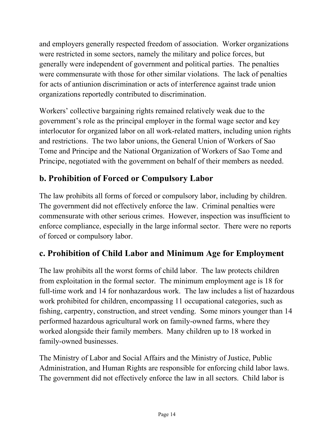and employers generally respected freedom of association. Worker organizations were restricted in some sectors, namely the military and police forces, but generally were independent of government and political parties. The penalties were commensurate with those for other similar violations. The lack of penalties for acts of antiunion discrimination or acts of interference against trade union organizations reportedly contributed to discrimination.

Workers' collective bargaining rights remained relatively weak due to the government's role as the principal employer in the formal wage sector and key interlocutor for organized labor on all work-related matters, including union rights and restrictions. The two labor unions, the General Union of Workers of Sao Tome and Principe and the National Organization of Workers of Sao Tome and Principe, negotiated with the government on behalf of their members as needed.

### **b. Prohibition of Forced or Compulsory Labor**

The law prohibits all forms of forced or compulsory labor, including by children. The government did not effectively enforce the law. Criminal penalties were commensurate with other serious crimes. However, inspection was insufficient to enforce compliance, especially in the large informal sector. There were no reports of forced or compulsory labor.

### **c. Prohibition of Child Labor and Minimum Age for Employment**

The law prohibits all the worst forms of child labor. The law protects children from exploitation in the formal sector. The minimum employment age is 18 for full-time work and 14 for nonhazardous work. The law includes a list of hazardous work prohibited for children, encompassing 11 occupational categories, such as fishing, carpentry, construction, and street vending. Some minors younger than 14 performed hazardous agricultural work on family-owned farms, where they worked alongside their family members. Many children up to 18 worked in family-owned businesses.

The Ministry of Labor and Social Affairs and the Ministry of Justice, Public Administration, and Human Rights are responsible for enforcing child labor laws. The government did not effectively enforce the law in all sectors. Child labor is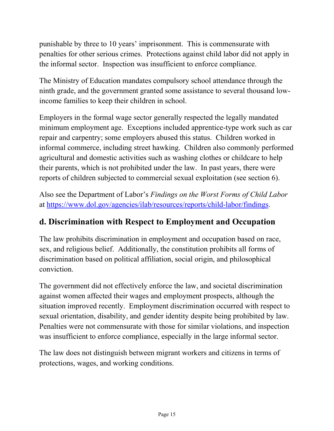punishable by three to 10 years' imprisonment. This is commensurate with penalties for other serious crimes. Protections against child labor did not apply in the informal sector. Inspection was insufficient to enforce compliance.

The Ministry of Education mandates compulsory school attendance through the ninth grade, and the government granted some assistance to several thousand lowincome families to keep their children in school.

Employers in the formal wage sector generally respected the legally mandated minimum employment age. Exceptions included apprentice-type work such as car repair and carpentry; some employers abused this status. Children worked in informal commerce, including street hawking. Children also commonly performed agricultural and domestic activities such as washing clothes or childcare to help their parents, which is not prohibited under the law. In past years, there were reports of children subjected to commercial sexual exploitation (see section 6).

Also see the Department of Labor's *Findings on the Worst Forms of Child Labor* at [https://www.dol.gov/agencies/ilab/resources/reports/child-labor/findings.](https://www.dol.gov/agencies/ilab/resources/reports/child-labor/findings)

#### **d. Discrimination with Respect to Employment and Occupation**

The law prohibits discrimination in employment and occupation based on race, sex, and religious belief. Additionally, the constitution prohibits all forms of discrimination based on political affiliation, social origin, and philosophical conviction.

The government did not effectively enforce the law, and societal discrimination against women affected their wages and employment prospects, although the situation improved recently. Employment discrimination occurred with respect to sexual orientation, disability, and gender identity despite being prohibited by law. Penalties were not commensurate with those for similar violations, and inspection was insufficient to enforce compliance, especially in the large informal sector.

The law does not distinguish between migrant workers and citizens in terms of protections, wages, and working conditions.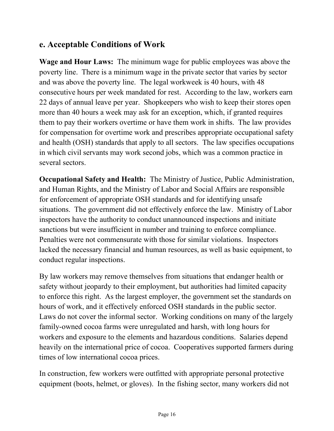#### **e. Acceptable Conditions of Work**

**Wage and Hour Laws:** The minimum wage for public employees was above the poverty line. There is a minimum wage in the private sector that varies by sector and was above the poverty line. The legal workweek is 40 hours, with 48 consecutive hours per week mandated for rest. According to the law, workers earn 22 days of annual leave per year. Shopkeepers who wish to keep their stores open more than 40 hours a week may ask for an exception, which, if granted requires them to pay their workers overtime or have them work in shifts. The law provides for compensation for overtime work and prescribes appropriate occupational safety and health (OSH) standards that apply to all sectors. The law specifies occupations in which civil servants may work second jobs, which was a common practice in several sectors.

**Occupational Safety and Health:** The Ministry of Justice, Public Administration, and Human Rights, and the Ministry of Labor and Social Affairs are responsible for enforcement of appropriate OSH standards and for identifying unsafe situations. The government did not effectively enforce the law. Ministry of Labor inspectors have the authority to conduct unannounced inspections and initiate sanctions but were insufficient in number and training to enforce compliance. Penalties were not commensurate with those for similar violations. Inspectors lacked the necessary financial and human resources, as well as basic equipment, to conduct regular inspections.

By law workers may remove themselves from situations that endanger health or safety without jeopardy to their employment, but authorities had limited capacity to enforce this right. As the largest employer, the government set the standards on hours of work, and it effectively enforced OSH standards in the public sector. Laws do not cover the informal sector. Working conditions on many of the largely family-owned cocoa farms were unregulated and harsh, with long hours for workers and exposure to the elements and hazardous conditions. Salaries depend heavily on the international price of cocoa. Cooperatives supported farmers during times of low international cocoa prices.

In construction, few workers were outfitted with appropriate personal protective equipment (boots, helmet, or gloves). In the fishing sector, many workers did not